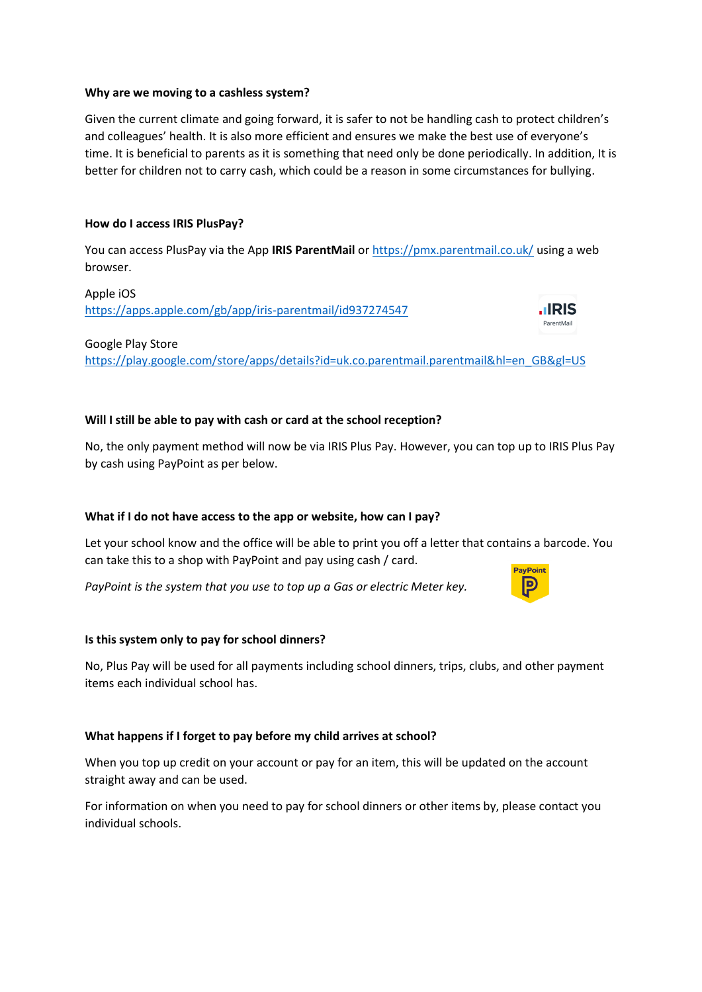## **Why are we moving to a cashless system?**

Given the current climate and going forward, it is safer to not be handling cash to protect children's and colleagues' health. It is also more efficient and ensures we make the best use of everyone's time. It is beneficial to parents as it is something that need only be done periodically. In addition, It is better for children not to carry cash, which could be a reason in some circumstances for bullying.

# **How do I access IRIS PlusPay?**

You can access PlusPay via the App **IRIS ParentMail** or<https://pmx.parentmail.co.uk/> using a web browser.

Apple iOS <https://apps.apple.com/gb/app/iris-parentmail/id937274547>



Google Play Store

[https://play.google.com/store/apps/details?id=uk.co.parentmail.parentmail&hl=en\\_GB&gl=US](https://play.google.com/store/apps/details?id=uk.co.parentmail.parentmail&hl=en_GB&gl=US)

# **Will I still be able to pay with cash or card at the school reception?**

No, the only payment method will now be via IRIS Plus Pay. However, you can top up to IRIS Plus Pay by cash using PayPoint as per below.

## **What if I do not have access to the app or website, how can I pay?**

Let your school know and the office will be able to print you off a letter that contains a barcode. You can take this to a shop with PayPoint and pay using cash / card.

*PayPoint is the system that you use to top up a Gas or electric Meter key.*

## **Is this system only to pay for school dinners?**

No, Plus Pay will be used for all payments including school dinners, trips, clubs, and other payment items each individual school has.

## **What happens if I forget to pay before my child arrives at school?**

When you top up credit on your account or pay for an item, this will be updated on the account straight away and can be used.

For information on when you need to pay for school dinners or other items by, please contact you individual schools.